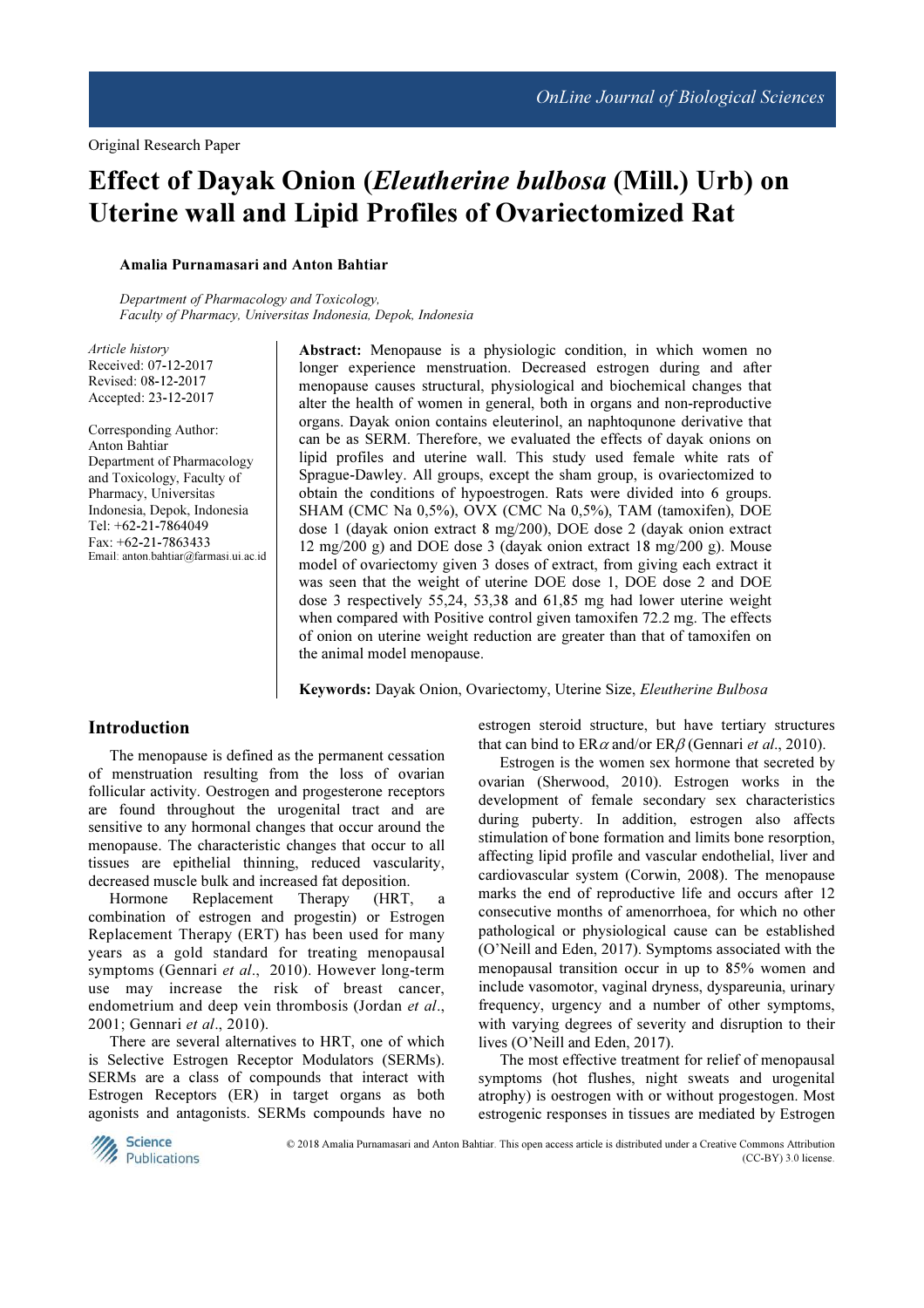# Effect of Dayak Onion (Eleutherine bulbosa (Mill.) Urb) on Uterine wall and Lipid Profiles of Ovariectomized Rat

## Amalia Purnamasari and Anton Bahtiar

Department of Pharmacology and Toxicology, Faculty of Pharmacy, Universitas Indonesia, Depok, Indonesia

Article history Received: 07-12-2017 Revised: 08-12-2017 Accepted: 23-12-2017

Corresponding Author: Anton Bahtiar Department of Pharmacology and Toxicology, Faculty of Pharmacy, Universitas Indonesia, Depok, Indonesia Tel: +62-21-7864049 Fax: +62-21-7863433 Email: anton.bahtiar@farmasi.ui.ac.id Abstract: Menopause is a physiologic condition, in which women no longer experience menstruation. Decreased estrogen during and after menopause causes structural, physiological and biochemical changes that alter the health of women in general, both in organs and non-reproductive organs. Dayak onion contains eleuterinol, an naphtoqunone derivative that can be as SERM. Therefore, we evaluated the effects of dayak onions on lipid profiles and uterine wall. This study used female white rats of Sprague-Dawley. All groups, except the sham group, is ovariectomized to obtain the conditions of hypoestrogen. Rats were divided into 6 groups. SHAM (CMC Na 0,5%), OVX (CMC Na 0,5%), TAM (tamoxifen), DOE dose 1 (dayak onion extract 8 mg/200), DOE dose 2 (dayak onion extract 12 mg/200 g) and DOE dose 3 (dayak onion extract 18 mg/200 g). Mouse model of ovariectomy given 3 doses of extract, from giving each extract it was seen that the weight of uterine DOE dose 1, DOE dose 2 and DOE dose 3 respectively 55,24, 53,38 and 61,85 mg had lower uterine weight when compared with Positive control given tamoxifen 72.2 mg. The effects of onion on uterine weight reduction are greater than that of tamoxifen on the animal model menopause.

Keywords: Dayak Onion, Ovariectomy, Uterine Size, Eleutherine Bulbosa

## Introduction

The menopause is defined as the permanent cessation of menstruation resulting from the loss of ovarian follicular activity. Oestrogen and progesterone receptors are found throughout the urogenital tract and are sensitive to any hormonal changes that occur around the menopause. The characteristic changes that occur to all tissues are epithelial thinning, reduced vascularity, decreased muscle bulk and increased fat deposition.

Hormone Replacement Therapy (HRT, a combination of estrogen and progestin) or Estrogen Replacement Therapy (ERT) has been used for many years as a gold standard for treating menopausal symptoms (Gennari et al., 2010). However long-term use may increase the risk of breast cancer, endometrium and deep vein thrombosis (Jordan et al., 2001; Gennari et al., 2010).

There are several alternatives to HRT, one of which is Selective Estrogen Receptor Modulators (SERMs). SERMs are a class of compounds that interact with Estrogen Receptors (ER) in target organs as both agonists and antagonists. SERMs compounds have no estrogen steroid structure, but have tertiary structures that can bind to  $ER\alpha$  and/or  $ER\beta$  (Gennari *et al.*, 2010).

Estrogen is the women sex hormone that secreted by ovarian (Sherwood, 2010). Estrogen works in the development of female secondary sex characteristics during puberty. In addition, estrogen also affects stimulation of bone formation and limits bone resorption, affecting lipid profile and vascular endothelial, liver and cardiovascular system (Corwin, 2008). The menopause marks the end of reproductive life and occurs after 12 consecutive months of amenorrhoea, for which no other pathological or physiological cause can be established (O'Neill and Eden, 2017). Symptoms associated with the menopausal transition occur in up to 85% women and include vasomotor, vaginal dryness, dyspareunia, urinary frequency, urgency and a number of other symptoms, with varying degrees of severity and disruption to their lives (O'Neill and Eden, 2017).

The most effective treatment for relief of menopausal symptoms (hot flushes, night sweats and urogenital atrophy) is oestrogen with or without progestogen. Most estrogenic responses in tissues are mediated by Estrogen



© 2018 Amalia Purnamasari and Anton Bahtiar. This open access article is distributed under a Creative Commons Attribution (CC-BY) 3.0 license.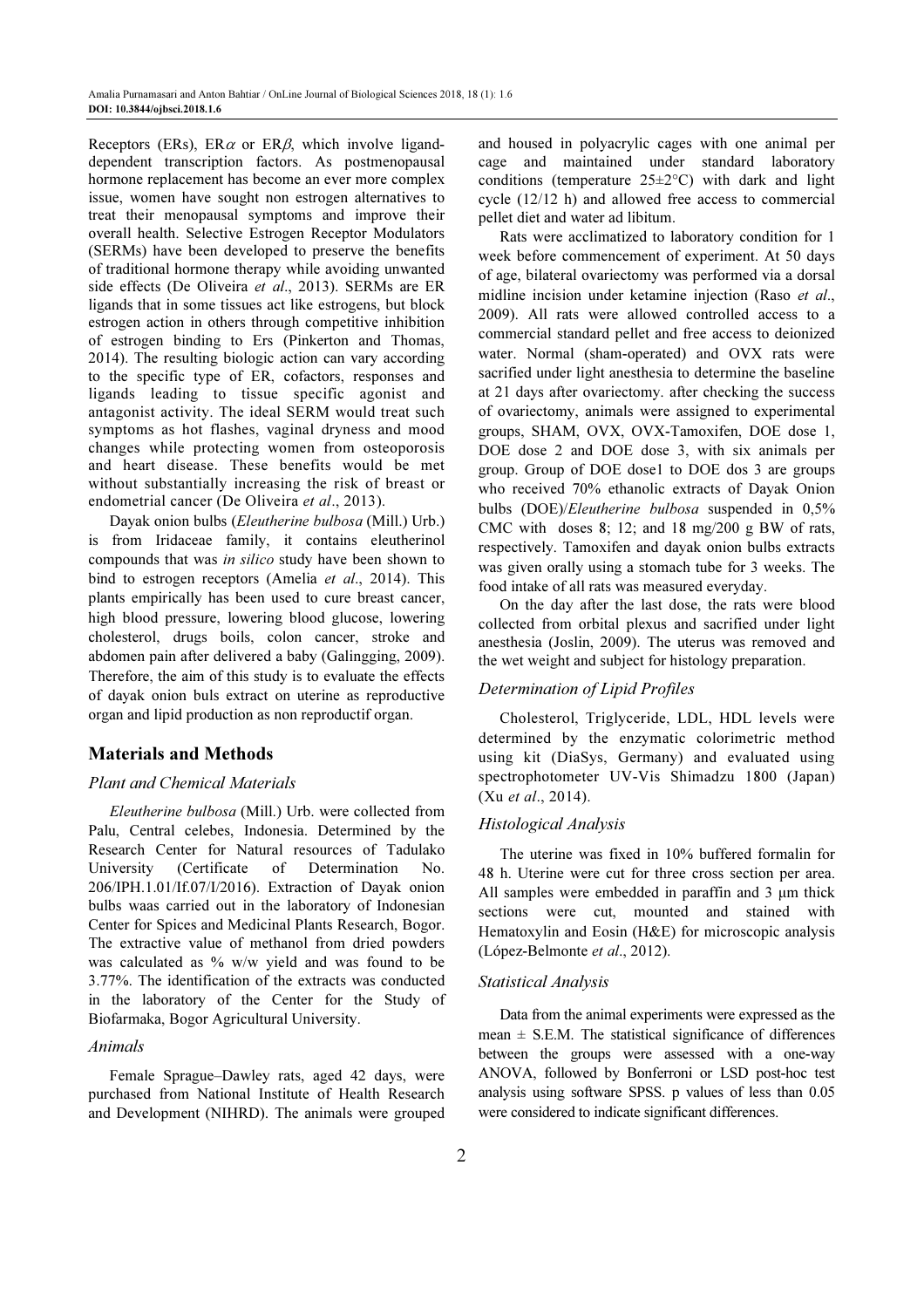Receptors (ERs), ER $\alpha$  or ER $\beta$ , which involve liganddependent transcription factors. As postmenopausal hormone replacement has become an ever more complex issue, women have sought non estrogen alternatives to treat their menopausal symptoms and improve their overall health. Selective Estrogen Receptor Modulators (SERMs) have been developed to preserve the benefits of traditional hormone therapy while avoiding unwanted side effects (De Oliveira et al., 2013). SERMs are ER ligands that in some tissues act like estrogens, but block estrogen action in others through competitive inhibition of estrogen binding to Ers (Pinkerton and Thomas, 2014). The resulting biologic action can vary according to the specific type of ER, cofactors, responses and ligands leading to tissue specific agonist and antagonist activity. The ideal SERM would treat such symptoms as hot flashes, vaginal dryness and mood changes while protecting women from osteoporosis and heart disease. These benefits would be met without substantially increasing the risk of breast or endometrial cancer (De Oliveira et al., 2013).

Dayak onion bulbs (Eleutherine bulbosa (Mill.) Urb.) is from Iridaceae family, it contains eleutherinol compounds that was in silico study have been shown to bind to estrogen receptors (Amelia *et al.*, 2014). This plants empirically has been used to cure breast cancer, high blood pressure, lowering blood glucose, lowering cholesterol, drugs boils, colon cancer, stroke and abdomen pain after delivered a baby (Galingging, 2009). Therefore, the aim of this study is to evaluate the effects of dayak onion buls extract on uterine as reproductive organ and lipid production as non reproductif organ.

## Materials and Methods

#### Plant and Chemical Materials

Eleutherine bulbosa (Mill.) Urb. were collected from Palu, Central celebes, Indonesia. Determined by the Research Center for Natural resources of Tadulako University (Certificate of Determination No. 206/IPH.1.01/If.07/I/2016). Extraction of Dayak onion bulbs waas carried out in the laboratory of Indonesian Center for Spices and Medicinal Plants Research, Bogor. The extractive value of methanol from dried powders was calculated as % w/w yield and was found to be 3.77%. The identification of the extracts was conducted in the laboratory of the Center for the Study of Biofarmaka, Bogor Agricultural University.

## Animals

Female Sprague–Dawley rats, aged 42 days, were purchased from National Institute of Health Research and Development (NIHRD). The animals were grouped and housed in polyacrylic cages with one animal per cage and maintained under standard laboratory conditions (temperature  $25 \pm 2$ °C) with dark and light cycle (12/12 h) and allowed free access to commercial pellet diet and water ad libitum.

Rats were acclimatized to laboratory condition for 1 week before commencement of experiment. At 50 days of age, bilateral ovariectomy was performed via a dorsal midline incision under ketamine injection (Raso et al., 2009). All rats were allowed controlled access to a commercial standard pellet and free access to deionized water. Normal (sham-operated) and OVX rats were sacrified under light anesthesia to determine the baseline at 21 days after ovariectomy. after checking the success of ovariectomy, animals were assigned to experimental groups, SHAM, OVX, OVX-Tamoxifen, DOE dose 1, DOE dose 2 and DOE dose 3, with six animals per group. Group of DOE dose1 to DOE dos 3 are groups who received 70% ethanolic extracts of Dayak Onion bulbs (DOE)/Eleutherine bulbosa suspended in 0,5% CMC with doses 8; 12; and 18 mg/200 g BW of rats, respectively. Tamoxifen and dayak onion bulbs extracts was given orally using a stomach tube for 3 weeks. The food intake of all rats was measured everyday.

On the day after the last dose, the rats were blood collected from orbital plexus and sacrified under light anesthesia (Joslin, 2009). The uterus was removed and the wet weight and subject for histology preparation.

## Determination of Lipid Profiles

Cholesterol, Triglyceride, LDL, HDL levels were determined by the enzymatic colorimetric method using kit (DiaSys, Germany) and evaluated using spectrophotometer UV-Vis Shimadzu 1800 (Japan) (Xu et al., 2014).

## Histological Analysis

The uterine was fixed in 10% buffered formalin for 48 h. Uterine were cut for three cross section per area. All samples were embedded in paraffin and 3  $\mu$ m thick sections were cut, mounted and stained with Hematoxylin and Eosin (H&E) for microscopic analysis (López-Belmonte et al., 2012).

#### Statistical Analysis

Data from the animal experiments were expressed as the mean  $\pm$  S.E.M. The statistical significance of differences between the groups were assessed with a one-way ANOVA, followed by Bonferroni or LSD post-hoc test analysis using software SPSS. p values of less than 0.05 were considered to indicate significant differences.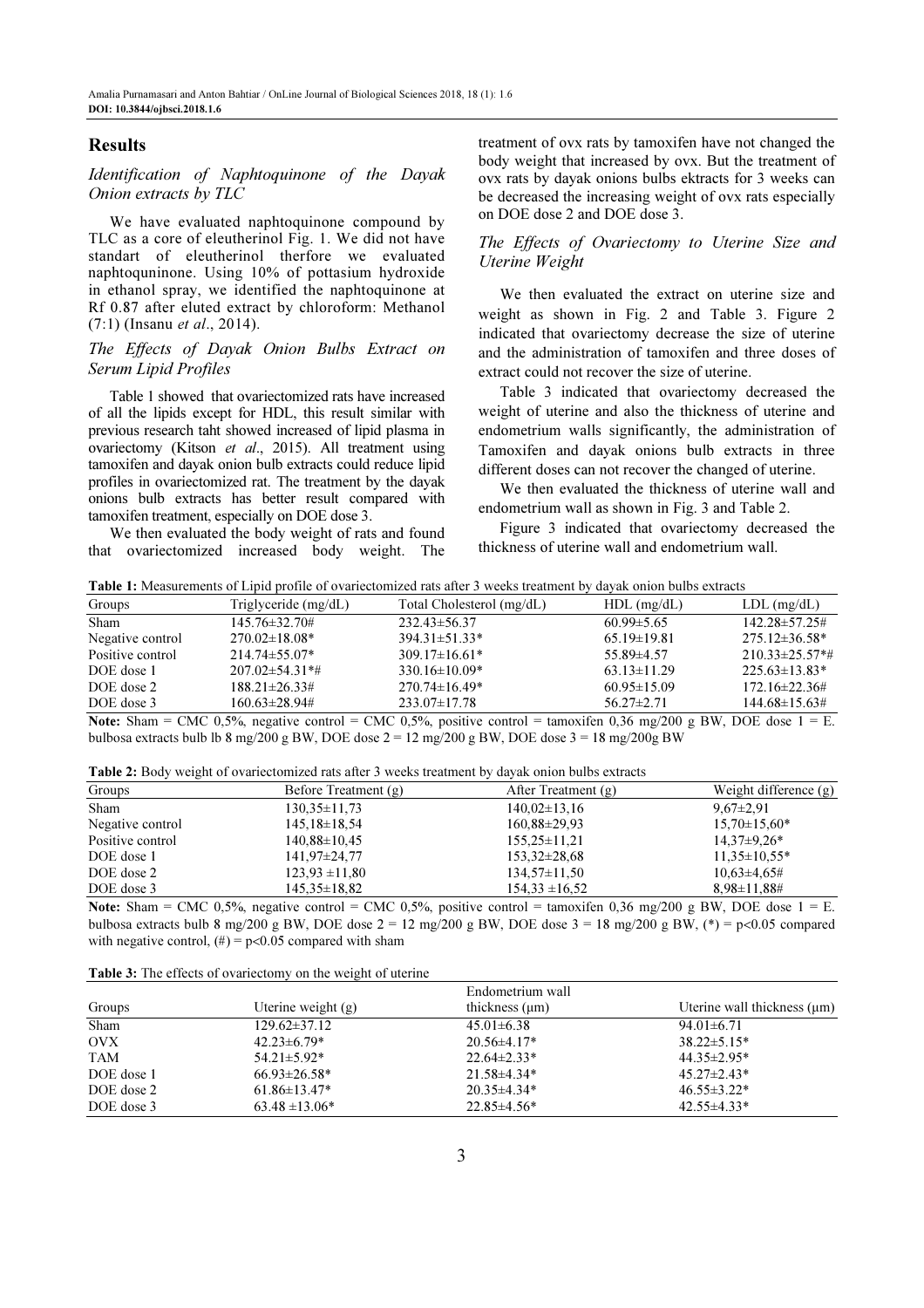## Results

Identification of Naphtoquinone of the Dayak Onion extracts by TLC

We have evaluated naphtoquinone compound by TLC as a core of eleutherinol Fig. 1. We did not have standart of eleutherinol therfore we evaluated naphtoquninone. Using 10% of pottasium hydroxide in ethanol spray, we identified the naphtoquinone at Rf 0.87 after eluted extract by chloroform: Methanol (7:1) (Insanu et al., 2014).

## The Effects of Dayak Onion Bulbs Extract on Serum Lipid Profiles

Table 1 showed that ovariectomized rats have increased of all the lipids except for HDL, this result similar with previous research taht showed increased of lipid plasma in ovariectomy (Kitson et al., 2015). All treatment using tamoxifen and dayak onion bulb extracts could reduce lipid profiles in ovariectomized rat. The treatment by the dayak onions bulb extracts has better result compared with tamoxifen treatment, especially on DOE dose 3.

We then evaluated the body weight of rats and found that ovariectomized increased body weight. The treatment of ovx rats by tamoxifen have not changed the body weight that increased by ovx. But the treatment of ovx rats by dayak onions bulbs ektracts for 3 weeks can be decreased the increasing weight of ovx rats especially on DOE dose 2 and DOE dose 3.

## The Effects of Ovariectomy to Uterine Size and Uterine Weight

We then evaluated the extract on uterine size and weight as shown in Fig. 2 and Table 3. Figure 2 indicated that ovariectomy decrease the size of uterine and the administration of tamoxifen and three doses of extract could not recover the size of uterine.

Table 3 indicated that ovariectomy decreased the weight of uterine and also the thickness of uterine and endometrium walls significantly, the administration of Tamoxifen and dayak onions bulb extracts in three different doses can not recover the changed of uterine.

We then evaluated the thickness of uterine wall and endometrium wall as shown in Fig. 3 and Table 2.

Figure 3 indicated that ovariectomy decreased the thickness of uterine wall and endometrium wall.

Table 1: Measurements of Lipid profile of ovariectomized rats after 3 weeks treatment by dayak onion bulbs extracts

| Groups           | Triglyceride (mg/dL)  | Total Cholesterol (mg/dL) | $HDL$ (mg/dL)     | $LDL$ (mg/dL)         |
|------------------|-----------------------|---------------------------|-------------------|-----------------------|
| <b>Sham</b>      | $145.76 \pm 32.70 \#$ | $232.43 \pm 56.37$        | $60.99 \pm 5.65$  | $142.28 \pm 57.25 \#$ |
| Negative control | $270.02\pm18.08*$     | $394.31 \pm 51.33*$       | $65.19 \pm 19.81$ | $275.12 \pm 36.58^*$  |
| Positive control | $214.74 \pm 55.07*$   | $309.17 \pm 16.61*$       | $55.89\pm4.57$    | $210.33 \pm 25.57$ *# |
| DOE dose 1       | $207.02 \pm 54.31$ *# | $330.16 \pm 10.09*$       | $63.13 \pm 11.29$ | $225.63\pm13.83*$     |
| DOE dose 2       | $188.21 \pm 26.33 \#$ | $270.74\pm16.49*$         | $60.95 \pm 15.09$ | $172.16 \pm 22.36 \#$ |
| DOE dose 3       | 160.63±28.94#         | $233.07 \pm 17.78$        | $56.27 \pm 2.71$  | $144.68 \pm 15.63 \#$ |
|                  |                       |                           |                   |                       |

Note: Sham = CMC 0,5%, negative control =  $\overline{\text{CMC 0,5\%}}$ , positive control = tamoxifen 0,36 mg/200 g BW, DOE dose  $1 = \overline{\text{E}}$ . bulbosa extracts bulb lb 8 mg/200 g BW, DOE dose  $2 = 12$  mg/200 g BW, DOE dose  $3 = 18$  mg/200g BW

Table 2: Body weight of ovariectomized rats after 3 weeks treatment by dayak onion bulbs extracts

| Groups           | Before Treatment (g) | After Treatment (g) | Weight difference (g) |
|------------------|----------------------|---------------------|-----------------------|
| <b>Sham</b>      | $130.35 \pm 11.73$   | $140.02\pm13.16$    | $9,67\pm2.91$         |
| Negative control | $145.18 \pm 18.54$   | $160,88\pm 29,93$   | $15,70\pm15,60*$      |
| Positive control | $140.88 \pm 10.45$   | $155,25\pm11,21$    | $14,37\pm9,26*$       |
| DOE dose 1       | $141,97\pm 24,77$    | $153,32\pm 28,68$   | $11.35 \pm 10.55*$    |
| DOE dose 2       | $123.93 \pm 11.80$   | $134,57\pm11,50$    | $10,63\pm4,65\#$      |
| DOE dose 3       | $145.35 \pm 18.82$   | $154.33 \pm 16.52$  | $8.98 \pm 11.88 \#$   |

Note: Sham = CMC 0,5%, negative control = CMC 0,5%, positive control = tamoxifen 0,36 mg/200 g BW, DOE dose  $1 = E$ . bulbosa extracts bulb 8 mg/200 g BW, DOE dose  $2 = 12$  mg/200 g BW, DOE dose  $3 = 18$  mg/200 g BW, (\*) = p<0.05 compared with negative control,  $(\#)=p<0.05$  compared with sham

Table 3: The effects of ovariectomy on the weight of uterine

|            |                      | Endometrium wall    | Uterine wall thickness $(\mu m)$ |  |
|------------|----------------------|---------------------|----------------------------------|--|
| Groups     | Uterine weight $(g)$ | thickness $(\mu m)$ |                                  |  |
| Sham       | $129.62 \pm 37.12$   | $45.01 \pm 6.38$    | $94.01 \pm 6.71$                 |  |
| OVX        | $42.23 \pm 6.79*$    | $20.56 \pm 4.17*$   | $38.22 \pm 5.15^*$               |  |
| <b>TAM</b> | $54.21 \pm 5.92*$    | $22.64 \pm 2.33*$   | $44.35 \pm 2.95*$                |  |
| DOE dose 1 | $66.93 \pm 26.58*$   | $21.58\pm4.34*$     | $45.27 \pm 2.43*$                |  |
| DOE dose 2 | $61.86 \pm 13.47*$   | $20.35 \pm 4.34*$   | $46.55 \pm 3.22*$                |  |
| DOE dose 3 | $63.48 \pm 13.06*$   | $22.85 \pm 4.56*$   | $42.55 \pm 4.33*$                |  |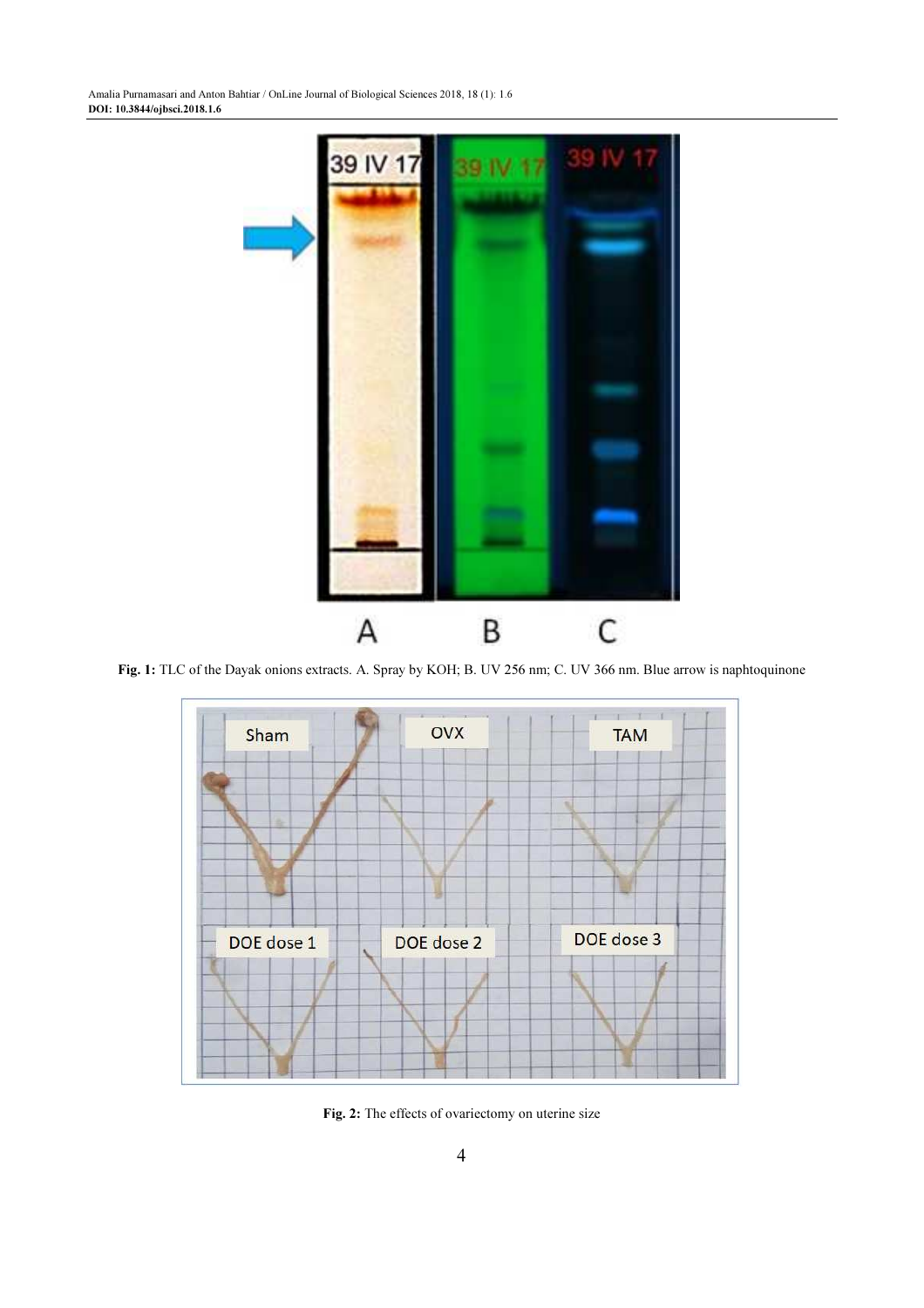

Fig. 1: TLC of the Dayak onions extracts. A. Spray by KOH; B. UV 256 nm; C. UV 366 nm. Blue arrow is naphtoquinone



Fig. 2: The effects of ovariectomy on uterine size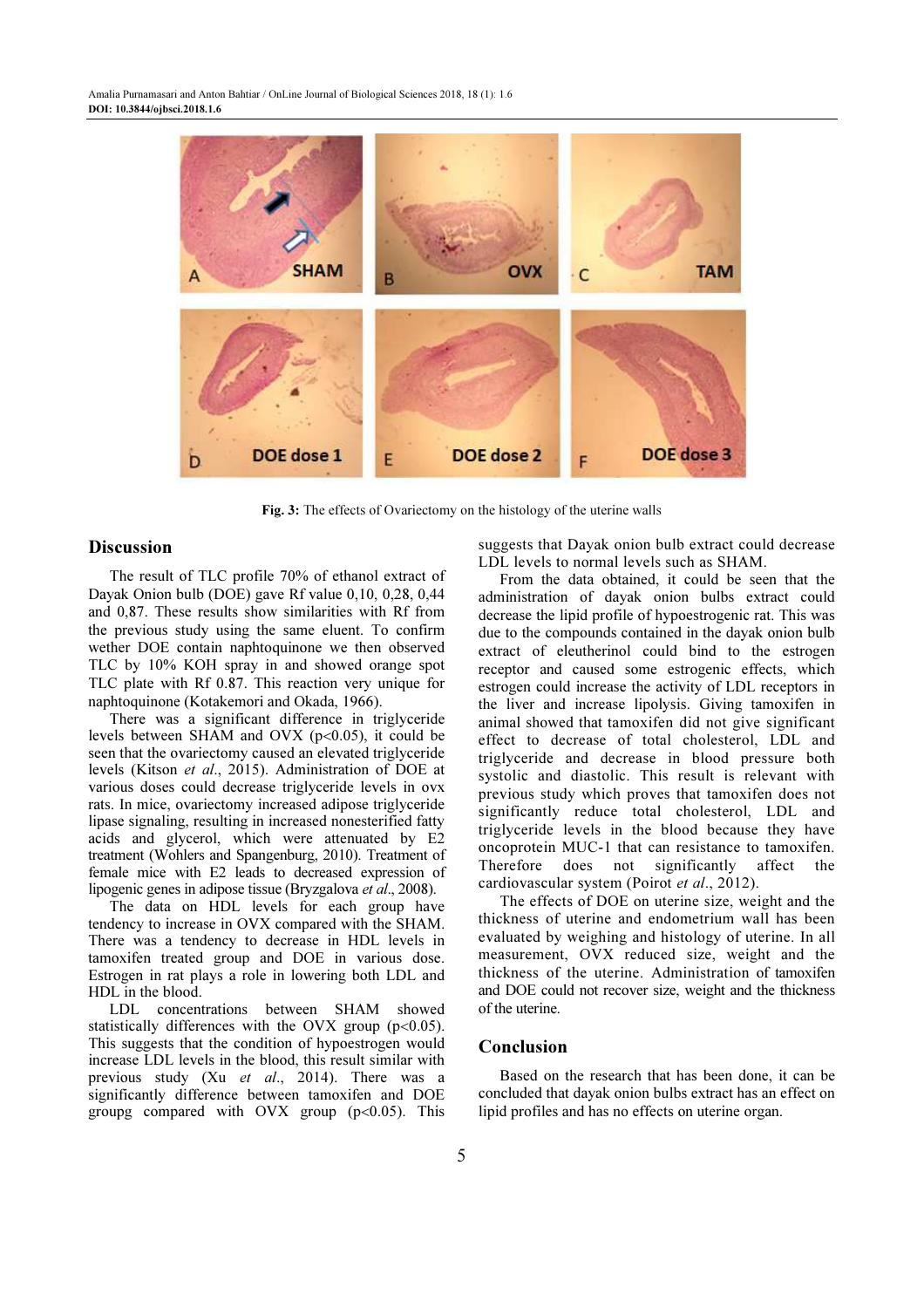

Fig. 3: The effects of Ovariectomy on the histology of the uterine walls

## **Discussion**

The result of TLC profile 70% of ethanol extract of Dayak Onion bulb (DOE) gave Rf value 0,10, 0,28, 0,44 and 0,87. These results show similarities with Rf from the previous study using the same eluent. To confirm wether DOE contain naphtoquinone we then observed TLC by 10% KOH spray in and showed orange spot TLC plate with Rf 0.87. This reaction very unique for naphtoquinone (Kotakemori and Okada, 1966).

There was a significant difference in triglyceride levels between SHAM and OVX  $(p<0.05)$ , it could be seen that the ovariectomy caused an elevated triglyceride levels (Kitson et al., 2015). Administration of DOE at various doses could decrease triglyceride levels in ovx rats. In mice, ovariectomy increased adipose triglyceride lipase signaling, resulting in increased nonesterified fatty acids and glycerol, which were attenuated by E2 treatment (Wohlers and Spangenburg, 2010). Treatment of female mice with E2 leads to decreased expression of lipogenic genes in adipose tissue (Bryzgalova et al., 2008).

The data on HDL levels for each group have tendency to increase in OVX compared with the SHAM. There was a tendency to decrease in HDL levels in tamoxifen treated group and DOE in various dose. Estrogen in rat plays a role in lowering both LDL and HDL in the blood.

LDL concentrations between SHAM showed statistically differences with the OVX group ( $p<0.05$ ). This suggests that the condition of hypoestrogen would increase LDL levels in the blood, this result similar with previous study (Xu et al., 2014). There was a significantly difference between tamoxifen and DOE groupg compared with  $OVX$  group ( $p<0.05$ ). This suggests that Dayak onion bulb extract could decrease LDL levels to normal levels such as SHAM.

From the data obtained, it could be seen that the administration of dayak onion bulbs extract could decrease the lipid profile of hypoestrogenic rat. This was due to the compounds contained in the dayak onion bulb extract of eleutherinol could bind to the estrogen receptor and caused some estrogenic effects, which estrogen could increase the activity of LDL receptors in the liver and increase lipolysis. Giving tamoxifen in animal showed that tamoxifen did not give significant effect to decrease of total cholesterol, LDL and triglyceride and decrease in blood pressure both systolic and diastolic. This result is relevant with previous study which proves that tamoxifen does not significantly reduce total cholesterol, LDL and triglyceride levels in the blood because they have oncoprotein MUC-1 that can resistance to tamoxifen. Therefore does not significantly affect the cardiovascular system (Poirot et al., 2012).

The effects of DOE on uterine size, weight and the thickness of uterine and endometrium wall has been evaluated by weighing and histology of uterine. In all measurement, OVX reduced size, weight and the thickness of the uterine. Administration of tamoxifen and DOE could not recover size, weight and the thickness of the uterine.

## Conclusion

Based on the research that has been done, it can be concluded that dayak onion bulbs extract has an effect on lipid profiles and has no effects on uterine organ.